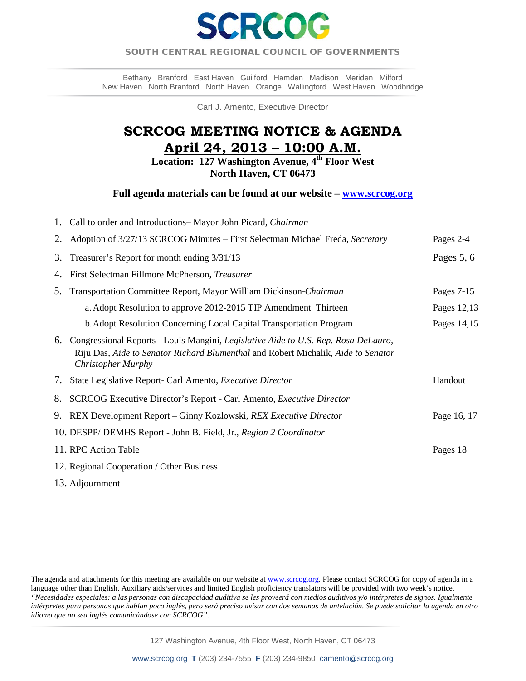

# SOUTH CENTRAL REGIONAL COUNCIL OF GOVERNMENTS  $\overline{a}$

Bethany Branford East Haven Guilford Hamden Madison Meriden Milford New Haven North Branford North Haven Orange Wallingford West Haven Woodbridge

Carl J. Amento, Executive Director

# **SCRCOG MEETING NOTICE & AGENDA April 24, 2013 – 10:00 A.M.**

**Location: 127 Washington Avenue, 4th Floor West North Haven, CT 06473** 

**Full agenda materials can be found at our website – [www.scrcog.org](http://www.scrcog.org/)** 

|    | 1. Call to order and Introductions– Mayor John Picard, Chairman                                                                                                                                      |              |
|----|------------------------------------------------------------------------------------------------------------------------------------------------------------------------------------------------------|--------------|
| 2. | Adoption of 3/27/13 SCRCOG Minutes - First Selectman Michael Freda, Secretary                                                                                                                        | Pages 2-4    |
| 3. | Treasurer's Report for month ending 3/31/13                                                                                                                                                          | Pages 5, 6   |
| 4. | First Selectman Fillmore McPherson, Treasurer                                                                                                                                                        |              |
| 5. | Transportation Committee Report, Mayor William Dickinson-Chairman                                                                                                                                    | Pages $7-15$ |
|    | a. Adopt Resolution to approve 2012-2015 TIP Amendment Thirteen                                                                                                                                      | Pages 12,13  |
|    | b. Adopt Resolution Concerning Local Capital Transportation Program                                                                                                                                  | Pages 14,15  |
| 6. | Congressional Reports - Louis Mangini, Legislative Aide to U.S. Rep. Rosa DeLauro,<br>Riju Das, Aide to Senator Richard Blumenthal and Robert Michalik, Aide to Senator<br><b>Christopher Murphy</b> |              |
| 7. | State Legislative Report- Carl Amento, <i>Executive Director</i>                                                                                                                                     | Handout      |
| 8. | SCRCOG Executive Director's Report - Carl Amento, <i>Executive Director</i>                                                                                                                          |              |
| 9. | REX Development Report – Ginny Kozlowski, REX Executive Director                                                                                                                                     | Page 16, 17  |
|    | 10. DESPP/ DEMHS Report - John B. Field, Jr., Region 2 Coordinator                                                                                                                                   |              |
|    | 11. RPC Action Table                                                                                                                                                                                 | Pages 18     |
|    | 12. Regional Cooperation / Other Business                                                                                                                                                            |              |

13. Adjournment

The agenda and attachments for this meeting are available on our website a[t www.scrcog.org.](http://www.scrcog.org/) Please contact SCRCOG for copy of agenda in a language other than English. Auxiliary aids/services and limited English proficiency translators will be provided with two week's notice. *"Necesidades especiales: a las personas con discapacidad auditiva se les proveerá con medios auditivos y/o intérpretes de signos. Igualmente intérpretes para personas que hablan poco inglés, pero será preciso avisar con dos semanas de antelación. Se puede solicitar la agenda en otro idioma que no sea inglés comunicándose con SCRCOG".*

127 Washington Avenue, 4th Floor West, North Haven, CT 06473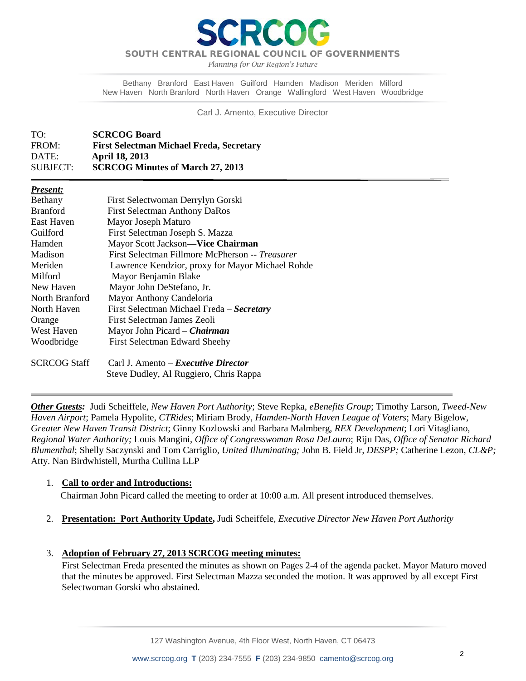*Planning for Our Region's Future*

Bethany Branford East Haven Guilford Hamden Madison Meriden Milford New Haven North Branford North Haven Orange Wallingford West Haven Woodbridge

Carl J. Amento, Executive Director

| TO:      | <b>SCRCOG Board</b>                             |
|----------|-------------------------------------------------|
| FROM:    | <b>First Selectman Michael Freda, Secretary</b> |
| DATE:    | <b>April 18, 2013</b>                           |
| SUBJECT: | <b>SCRCOG Minutes of March 27, 2013</b>         |

#### *Present:*

 $\overline{\phantom{a}}$ 

| Bethany             | First Selectwoman Derrylyn Gorski                |
|---------------------|--------------------------------------------------|
| <b>Branford</b>     | <b>First Selectman Anthony DaRos</b>             |
| East Haven          | Mayor Joseph Maturo                              |
| Guilford            | First Selectman Joseph S. Mazza                  |
| Hamden              | Mayor Scott Jackson-Vice Chairman                |
| Madison             | First Selectman Fillmore McPherson -- Treasurer  |
| Meriden             | Lawrence Kendzior, proxy for Mayor Michael Rohde |
| Milford             | Mayor Benjamin Blake                             |
| New Haven           | Mayor John DeStefano, Jr.                        |
| North Branford      | Mayor Anthony Candeloria                         |
| North Haven         | First Selectman Michael Freda - Secretary        |
| Orange              | First Selectman James Zeoli                      |
| West Haven          | Mayor John Picard – <i>Chairman</i>              |
| Woodbridge          | First Selectman Edward Sheehy                    |
| <b>SCRCOG Staff</b> | Carl J. Amento - Executive Director              |
|                     | Steve Dudley, Al Ruggiero, Chris Rappa           |

*Other Guests:* Judi Scheiffele, *New Haven Port Authority*; Steve Repka, *eBenefits Group*; Timothy Larson, *Tweed-New Haven Airport*; Pamela Hypolite, *CTRides*; Miriam Brody, *Hamden-North Haven League of Voters*; Mary Bigelow, *Greater New Haven Transit District*; Ginny Kozlowski and Barbara Malmberg, *REX Development*; Lori Vitagliano, *Regional Water Authority;* Louis Mangini, *Office of Congresswoman Rosa DeLauro*; Riju Das, *Office of Senator Richard Blumenthal*; Shelly Saczynski and Tom Carriglio, *United Illuminating;* John B. Field Jr*, DESPP;* Catherine Lezon, *CL&P;*  Atty. Nan Birdwhistell, Murtha Cullina LLP

### 1. **Call to order and Introductions:**

Chairman John Picard called the meeting to order at 10:00 a.m. All present introduced themselves.

- 2. **Presentation: Port Authority Update,** Judi Scheiffele*, Executive Director New Haven Port Authority*
- 3. **Adoption of February 27, 2013 SCRCOG meeting minutes:**

First Selectman Freda presented the minutes as shown on Pages 2-4 of the agenda packet. Mayor Maturo moved that the minutes be approved. First Selectman Mazza seconded the motion. It was approved by all except First Selectwoman Gorski who abstained.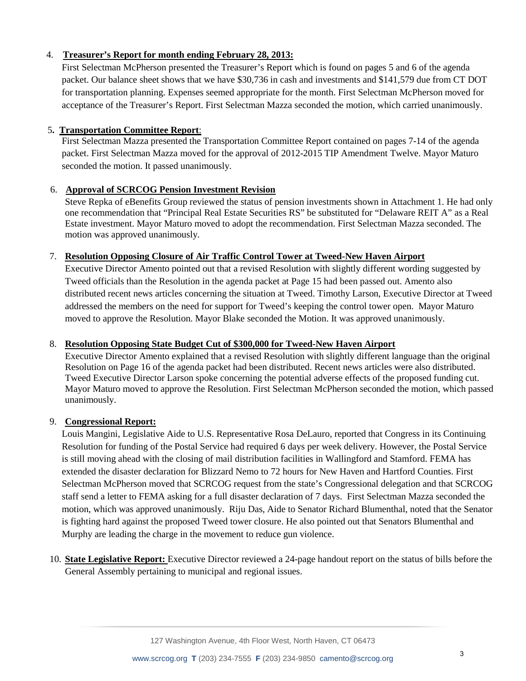# 4. **Treasurer's Report for month ending February 28, 2013:**

First Selectman McPherson presented the Treasurer's Report which is found on pages 5 and 6 of the agenda packet. Our balance sheet shows that we have \$30,736 in cash and investments and \$141,579 due from CT DOT for transportation planning. Expenses seemed appropriate for the month. First Selectman McPherson moved for acceptance of the Treasurer's Report. First Selectman Mazza seconded the motion, which carried unanimously.

## 5**. Transportation Committee Report**:

First Selectman Mazza presented the Transportation Committee Report contained on pages 7-14 of the agenda packet. First Selectman Mazza moved for the approval of 2012-2015 TIP Amendment Twelve. Mayor Maturo seconded the motion. It passed unanimously.

# 6. **Approval of SCRCOG Pension Investment Revision**

Steve Repka of eBenefits Group reviewed the status of pension investments shown in Attachment 1. He had only one recommendation that "Principal Real Estate Securities RS" be substituted for "Delaware REIT A" as a Real Estate investment. Mayor Maturo moved to adopt the recommendation. First Selectman Mazza seconded. The motion was approved unanimously.

# 7. **Resolution Opposing Closure of Air Traffic Control Tower at Tweed-New Haven Airport**

Executive Director Amento pointed out that a revised Resolution with slightly different wording suggested by Tweed officials than the Resolution in the agenda packet at Page 15 had been passed out. Amento also distributed recent news articles concerning the situation at Tweed. Timothy Larson, Executive Director at Tweed addressed the members on the need for support for Tweed's keeping the control tower open. Mayor Maturo moved to approve the Resolution. Mayor Blake seconded the Motion. It was approved unanimously.

## 8. **Resolution Opposing State Budget Cut of \$300,000 for Tweed-New Haven Airport**

Executive Director Amento explained that a revised Resolution with slightly different language than the original Resolution on Page 16 of the agenda packet had been distributed. Recent news articles were also distributed. Tweed Executive Director Larson spoke concerning the potential adverse effects of the proposed funding cut. Mayor Maturo moved to approve the Resolution. First Selectman McPherson seconded the motion, which passed unanimously.

### 9. **Congressional Report:**

Louis Mangini, Legislative Aide to U.S. Representative Rosa DeLauro, reported that Congress in its Continuing Resolution for funding of the Postal Service had required 6 days per week delivery. However, the Postal Service is still moving ahead with the closing of mail distribution facilities in Wallingford and Stamford. FEMA has extended the disaster declaration for Blizzard Nemo to 72 hours for New Haven and Hartford Counties. First Selectman McPherson moved that SCRCOG request from the state's Congressional delegation and that SCRCOG staff send a letter to FEMA asking for a full disaster declaration of 7 days. First Selectman Mazza seconded the motion, which was approved unanimously. Riju Das, Aide to Senator Richard Blumenthal, noted that the Senator is fighting hard against the proposed Tweed tower closure. He also pointed out that Senators Blumenthal and Murphy are leading the charge in the movement to reduce gun violence.

10. **State Legislative Report:** Executive Director reviewed a 24-page handout report on the status of bills before the General Assembly pertaining to municipal and regional issues.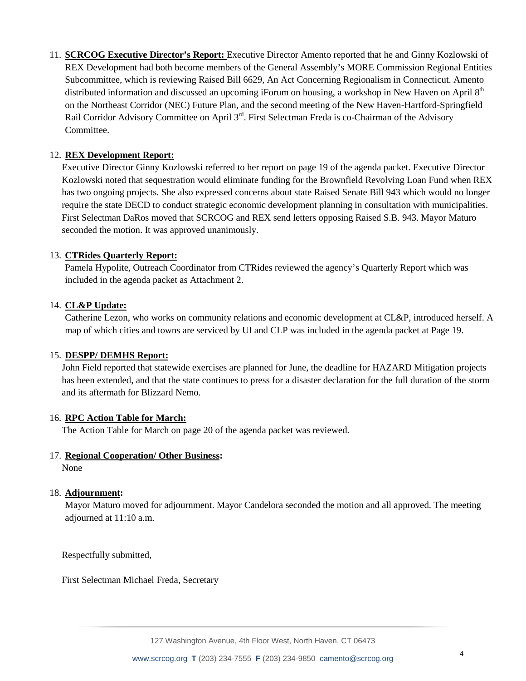11. **SCRCOG Executive Director's Report:** Executive Director Amento reported that he and Ginny Kozlowski of REX Development had both become members of the General Assembly's MORE Commission Regional Entities Subcommittee, which is reviewing Raised Bill 6629, An Act Concerning Regionalism in Connecticut. Amento distributed information and discussed an upcoming iForum on housing, a workshop in New Haven on April 8<sup>th</sup> on the Northeast Corridor (NEC) Future Plan, and the second meeting of the New Haven-Hartford-Springfield Rail Corridor Advisory Committee on April 3<sup>rd</sup>. First Selectman Freda is co-Chairman of the Advisory **Committee** 

## 12. **REX Development Report:**

Executive Director Ginny Kozlowski referred to her report on page 19 of the agenda packet. Executive Director Kozlowski noted that sequestration would eliminate funding for the Brownfield Revolving Loan Fund when REX has two ongoing projects. She also expressed concerns about state Raised Senate Bill 943 which would no longer require the state DECD to conduct strategic economic development planning in consultation with municipalities. First Selectman DaRos moved that SCRCOG and REX send letters opposing Raised S.B. 943. Mayor Maturo seconded the motion. It was approved unanimously.

# 13. **CTRides Quarterly Report:**

Pamela Hypolite, Outreach Coordinator from CTRides reviewed the agency's Quarterly Report which was included in the agenda packet as Attachment 2.

# 14. **CL&P Update:**

Catherine Lezon, who works on community relations and economic development at CL&P, introduced herself. A map of which cities and towns are serviced by UI and CLP was included in the agenda packet at Page 19.

### 15. **DESPP/ DEMHS Report:**

John Field reported that statewide exercises are planned for June, the deadline for HAZARD Mitigation projects has been extended, and that the state continues to press for a disaster declaration for the full duration of the storm and its aftermath for Blizzard Nemo.

### 16. **RPC Action Table for March:**

The Action Table for March on page 20 of the agenda packet was reviewed.

### 17. **Regional Cooperation/ Other Business:**

None

### 18. **Adjournment:**

Mayor Maturo moved for adjournment. Mayor Candelora seconded the motion and all approved. The meeting adjourned at 11:10 a.m.

Respectfully submitted,

First Selectman Michael Freda, Secretary

127 Washington Avenue, 4th Floor West, North Haven, CT 06473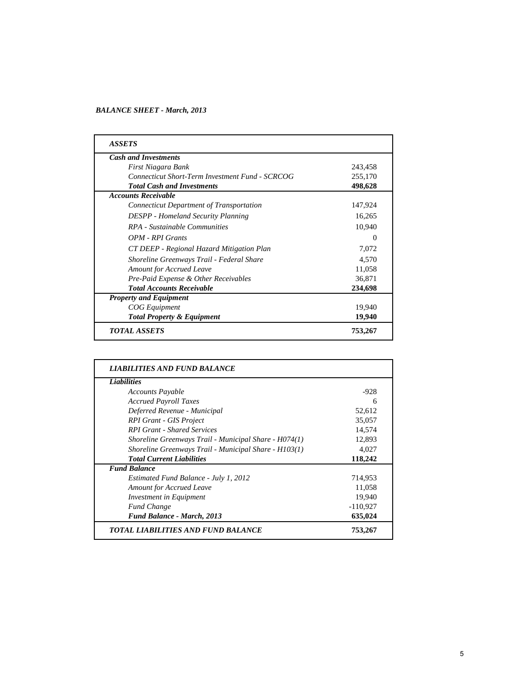#### *BALANCE SHEET - March, 2013*

| <b>ASSETS</b>                                          |          |
|--------------------------------------------------------|----------|
| <b>Cash and Investments</b>                            |          |
| First Niagara Bank                                     | 243,458  |
| <b>Connecticut Short-Term Investment Fund - SCRCOG</b> | 255,170  |
| <b>Total Cash and Investments</b>                      | 498,628  |
| <b>Accounts Receivable</b>                             |          |
| Connecticut Department of Transportation               | 147,924  |
| <b>DESPP</b> - Homeland Security Planning              | 16,265   |
| RPA - Sustainable Communities                          | 10,940   |
| OPM - RPI Grants                                       | $\Omega$ |
| CT DEEP - Regional Hazard Mitigation Plan              | 7,072    |
| Shoreline Greenways Trail - Federal Share              | 4,570    |
| <b>Amount for Accrued Leave</b>                        | 11,058   |
| Pre-Paid Expense & Other Receivables                   | 36,871   |
| <b>Total Accounts Receivable</b>                       | 234,698  |
| <b>Property and Equipment</b>                          |          |
| <b>COG</b> Equipment                                   | 19,940   |
| <b>Total Property &amp; Equipment</b>                  | 19,940   |
| <b>TOTAL ASSETS</b>                                    | 753,267  |

| <b>Liabilities</b>                                    |            |
|-------------------------------------------------------|------------|
| Accounts Payable                                      | $-928$     |
| <b>Accrued Payroll Taxes</b>                          | 6          |
| Deferred Revenue - Municipal                          | 52,612     |
| <b>RPI Grant - GIS Project</b>                        | 35,057     |
| <b>RPI Grant - Shared Services</b>                    | 14,574     |
| Shoreline Greenways Trail - Municipal Share - H074(1) | 12,893     |
| Shoreline Greenways Trail - Municipal Share - H103(1) | 4,027      |
| <b>Total Current Liabilities</b>                      | 118,242    |
| <b>Fund Balance</b>                                   |            |
| Estimated Fund Balance - July 1, 2012                 | 714,953    |
| <b>Amount for Accrued Leave</b>                       | 11,058     |
| Investment in Equipment                               | 19,940     |
| <b>Fund Change</b>                                    | $-110,927$ |
| <b>Fund Balance - March, 2013</b>                     | 635,024    |
| <b>TOTAL LIABILITIES AND FUND BALANCE</b>             | 753,267    |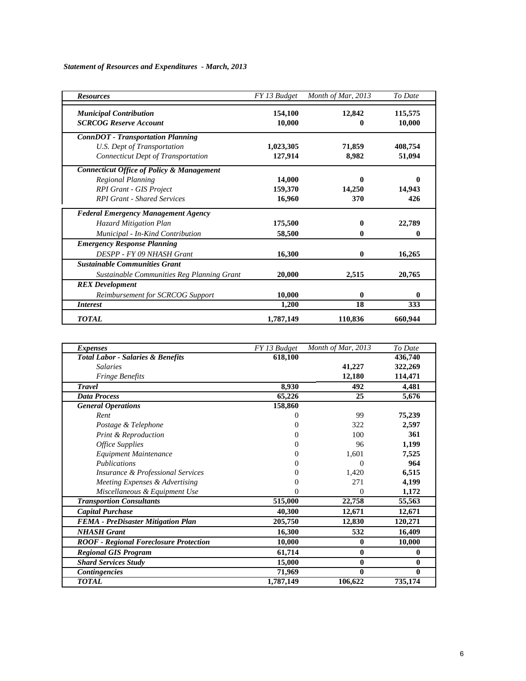#### *Statement of Resources and Expenditures - March, 2013*

| <b>Resources</b>                                     | FY 13 Budget | Month of Mar, 2013 | To Date |
|------------------------------------------------------|--------------|--------------------|---------|
| <b>Municipal Contribution</b>                        | 154,100      | 12,842             | 115,575 |
| <b>SCRCOG Reserve Account</b>                        | 10,000       |                    | 10,000  |
| <b>ConnDOT</b> - Transportation Planning             |              |                    |         |
| U.S. Dept of Transportation                          | 1,023,305    | 71,859             | 408,754 |
| <b>Connecticut Dept of Transportation</b>            | 127,914      | 8,982              | 51,094  |
| <b>Connecticut Office of Policy &amp; Management</b> |              |                    |         |
| <b>Regional Planning</b>                             | 14,000       |                    |         |
| <b>RPI Grant - GIS Project</b>                       | 159,370      | 14,250             | 14,943  |
| <b>RPI Grant - Shared Services</b>                   | 16,960       | 370                | 426     |
| <b>Federal Emergency Management Agency</b>           |              |                    |         |
| Hazard Mitigation Plan                               | 175,500      |                    | 22,789  |
| Municipal - In-Kind Contribution                     | 58,500       | 0                  | 0       |
| <b>Emergency Response Planning</b>                   |              |                    |         |
| DESPP - FY 09 NHASH Grant                            | 16,300       | 0                  | 16,265  |
| <b>Sustainable Communities Grant</b>                 |              |                    |         |
| Sustainable Communities Reg Planning Grant           | 20,000       | 2,515              | 20,765  |
| <b>REX</b> Development                               |              |                    |         |
| Reimbursement for SCRCOG Support                     | 10,000       | 0                  | 0       |
| <i>Interest</i>                                      | 1,200        | 18                 | 333     |
| <b>TOTAL</b>                                         | 1,787,149    | 110,836            | 660,944 |

| <i>Expenses</i>                               | FY 13 Budget | Month of Mar, 2013 | To Date      |
|-----------------------------------------------|--------------|--------------------|--------------|
| <b>Total Labor - Salaries &amp; Benefits</b>  | 618,100      |                    | 436,740      |
| <b>Salaries</b>                               |              | 41,227             | 322,269      |
| <b>Fringe Benefits</b>                        |              | 12,180             | 114,471      |
| <b>Travel</b>                                 | 8,930        | 492                | 4,481        |
| <b>Data Process</b>                           | 65,226       | 25                 | 5,676        |
| <b>General Operations</b>                     | 158,860      |                    |              |
| Rent                                          | 0            | 99                 | 75,239       |
| Postage & Telephone                           | 0            | 322                | 2,597        |
| <b>Print &amp; Reproduction</b>               |              | 100                | 361          |
| <b>Office Supplies</b>                        | 0            | 96                 | 1,199        |
| Equipment Maintenance                         | 0            | 1,601              | 7,525        |
| <i>Publications</i>                           |              | 0                  | 964          |
| <b>Insurance &amp; Professional Services</b>  |              | 1,420              | 6,515        |
| Meeting Expenses & Advertising                |              | 271                | 4,199        |
| Miscellaneous & Equipment Use                 |              | 0                  | 1,172        |
| <b>Transportion Consultants</b>               | 515,000      | 22,758             | 55,563       |
| <b>Capital Purchase</b>                       | 40,300       | 12,671             | 12,671       |
| <b>FEMA</b> - PreDisaster Mitigation Plan     | 205,750      | 12,830             | 120,271      |
| <b>NHASH Grant</b>                            | 16,300       | 532                | 16,409       |
| <b>ROOF</b> - Regional Foreclosure Protection | 10,000       | $\mathbf{0}$       | 10,000       |
| <b>Regional GIS Program</b>                   | 61,714       | $\bf{0}$           | $\bf{0}$     |
| <b>Shard Services Study</b>                   | 15,000       | $\bf{0}$           | $\mathbf{0}$ |
| <b>Contingencies</b>                          | 71,969       | $\bf{0}$           | $\mathbf{0}$ |
| <b>TOTAL</b>                                  | 1,787,149    | 106,622            | 735,174      |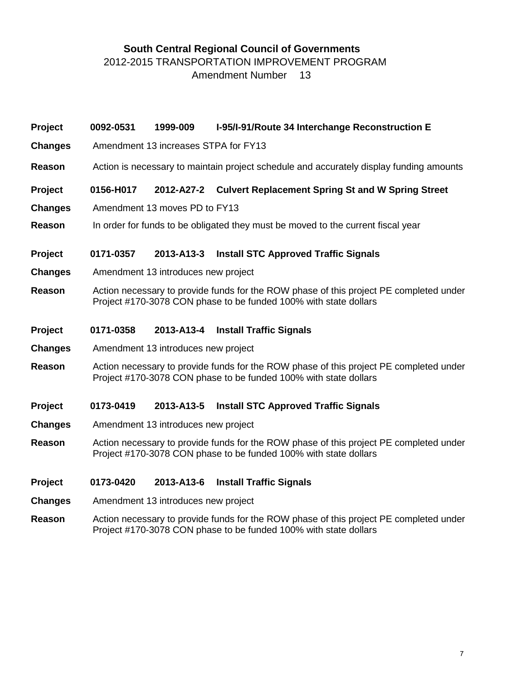# **South Central Regional Council of Governments**

2012-2015 TRANSPORTATION IMPROVEMENT PROGRAM

Amendment Number 13

| Project        | 0092-0531                                                                                                                                                  | 1999-009                             | I-95/I-91/Route 34 Interchange Reconstruction E                                                                                                            |  |  |  |  |  |  |
|----------------|------------------------------------------------------------------------------------------------------------------------------------------------------------|--------------------------------------|------------------------------------------------------------------------------------------------------------------------------------------------------------|--|--|--|--|--|--|
| <b>Changes</b> |                                                                                                                                                            | Amendment 13 increases STPA for FY13 |                                                                                                                                                            |  |  |  |  |  |  |
| Reason         | Action is necessary to maintain project schedule and accurately display funding amounts                                                                    |                                      |                                                                                                                                                            |  |  |  |  |  |  |
| <b>Project</b> | 0156-H017                                                                                                                                                  | 2012-A27-2                           | <b>Culvert Replacement Spring St and W Spring Street</b>                                                                                                   |  |  |  |  |  |  |
| <b>Changes</b> |                                                                                                                                                            | Amendment 13 moves PD to FY13        |                                                                                                                                                            |  |  |  |  |  |  |
| <b>Reason</b>  |                                                                                                                                                            |                                      | In order for funds to be obligated they must be moved to the current fiscal year                                                                           |  |  |  |  |  |  |
| Project        | 0171-0357                                                                                                                                                  | 2013-A13-3                           | <b>Install STC Approved Traffic Signals</b>                                                                                                                |  |  |  |  |  |  |
| <b>Changes</b> |                                                                                                                                                            | Amendment 13 introduces new project  |                                                                                                                                                            |  |  |  |  |  |  |
| <b>Reason</b>  | Action necessary to provide funds for the ROW phase of this project PE completed under<br>Project #170-3078 CON phase to be funded 100% with state dollars |                                      |                                                                                                                                                            |  |  |  |  |  |  |
| <b>Project</b> | 0171-0358                                                                                                                                                  | 2013-A13-4                           | <b>Install Traffic Signals</b>                                                                                                                             |  |  |  |  |  |  |
| <b>Changes</b> |                                                                                                                                                            | Amendment 13 introduces new project  |                                                                                                                                                            |  |  |  |  |  |  |
| Reason         |                                                                                                                                                            |                                      | Action necessary to provide funds for the ROW phase of this project PE completed under<br>Project #170-3078 CON phase to be funded 100% with state dollars |  |  |  |  |  |  |
| Project        | 0173-0419                                                                                                                                                  | 2013-A13-5                           | <b>Install STC Approved Traffic Signals</b>                                                                                                                |  |  |  |  |  |  |
| <b>Changes</b> |                                                                                                                                                            | Amendment 13 introduces new project  |                                                                                                                                                            |  |  |  |  |  |  |
| <b>Reason</b>  |                                                                                                                                                            |                                      | Action necessary to provide funds for the ROW phase of this project PE completed under<br>Project #170-3078 CON phase to be funded 100% with state dollars |  |  |  |  |  |  |
| <b>Project</b> | 0173-0420                                                                                                                                                  | 2013-A13-6                           | <b>Install Traffic Signals</b>                                                                                                                             |  |  |  |  |  |  |

- **Changes** Amendment 13 introduces new project
- **Reason** Action necessary to provide funds for the ROW phase of this project PE completed under Project #170-3078 CON phase to be funded 100% with state dollars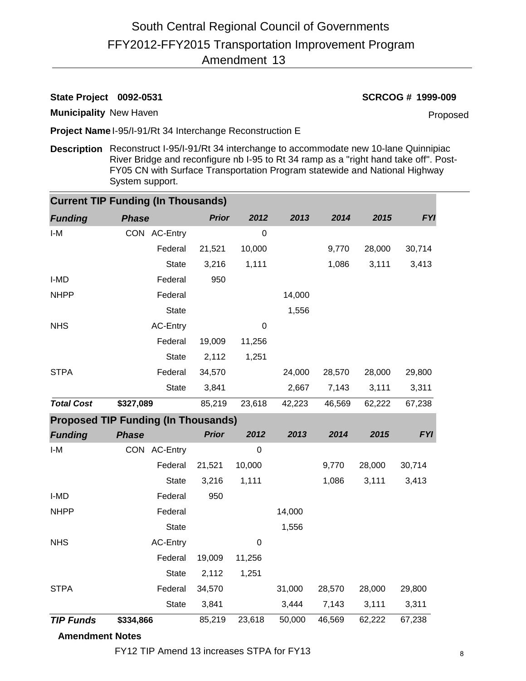**State Project 0092-0531 SCRCOG # 1999-009**

**Municipality** New Haven

Proposed

**Project Name** I-95/I-91/Rt 34 Interchange Reconstruction E

**Description** Reconstruct I-95/I-91/Rt 34 interchange to accommodate new 10-lane Quinnipiac River Bridge and reconfigure nb I-95 to Rt 34 ramp as a "right hand take off". Post-FY05 CN with Surface Transportation Program statewide and National Highway System support.

| <b>Current TIP Funding (In Thousands)</b> |                                            |              |             |        |        |        |            |  |  |  |  |
|-------------------------------------------|--------------------------------------------|--------------|-------------|--------|--------|--------|------------|--|--|--|--|
| <b>Funding</b>                            | <b>Phase</b>                               | <b>Prior</b> | 2012        | 2013   | 2014   | 2015   | <b>FYI</b> |  |  |  |  |
| I-M                                       | CON AC-Entry                               |              | $\mathbf 0$ |        |        |        |            |  |  |  |  |
|                                           | Federal                                    | 21,521       | 10,000      |        | 9,770  | 28,000 | 30,714     |  |  |  |  |
|                                           | <b>State</b>                               | 3,216        | 1,111       |        | 1,086  | 3,111  | 3,413      |  |  |  |  |
| I-MD                                      | Federal                                    | 950          |             |        |        |        |            |  |  |  |  |
| <b>NHPP</b>                               | Federal                                    |              |             | 14,000 |        |        |            |  |  |  |  |
|                                           | <b>State</b>                               |              |             | 1,556  |        |        |            |  |  |  |  |
| <b>NHS</b>                                | <b>AC-Entry</b>                            |              | 0           |        |        |        |            |  |  |  |  |
|                                           | Federal                                    | 19,009       | 11,256      |        |        |        |            |  |  |  |  |
|                                           | <b>State</b>                               | 2,112        | 1,251       |        |        |        |            |  |  |  |  |
| <b>STPA</b>                               | Federal                                    | 34,570       |             | 24,000 | 28,570 | 28,000 | 29,800     |  |  |  |  |
|                                           | <b>State</b>                               | 3,841        |             | 2,667  | 7,143  | 3,111  | 3,311      |  |  |  |  |
| <b>Total Cost</b><br>\$327,089            |                                            | 85,219       | 23,618      | 42,223 | 46,569 | 62,222 | 67,238     |  |  |  |  |
|                                           | <b>Proposed TIP Funding (In Thousands)</b> |              |             |        |        |        |            |  |  |  |  |
| <b>Funding</b>                            | <b>Phase</b>                               | <b>Prior</b> | 2012        | 2013   | 2014   | 2015   | <b>FYI</b> |  |  |  |  |
| $I-M$                                     | CON AC-Entry                               |              | $\mathbf 0$ |        |        |        |            |  |  |  |  |
|                                           | Federal                                    | 21,521       | 10,000      |        | 9,770  | 28,000 | 30,714     |  |  |  |  |
|                                           | <b>State</b>                               | 3,216        | 1,111       |        | 1,086  | 3,111  | 3,413      |  |  |  |  |
| I-MD                                      | Federal                                    | 950          |             |        |        |        |            |  |  |  |  |
| <b>NHPP</b>                               | Federal                                    |              |             | 14,000 |        |        |            |  |  |  |  |
|                                           | <b>State</b>                               |              |             | 1,556  |        |        |            |  |  |  |  |
| <b>NHS</b>                                | AC-Entry                                   |              | 0           |        |        |        |            |  |  |  |  |
|                                           | Federal                                    | 19,009       | 11,256      |        |        |        |            |  |  |  |  |
|                                           | <b>State</b>                               | 2,112        | 1,251       |        |        |        |            |  |  |  |  |
| <b>STPA</b>                               | Federal                                    | 34,570       |             | 31,000 | 28,570 | 28,000 | 29,800     |  |  |  |  |
|                                           | <b>State</b>                               | 3,841        |             | 3,444  | 7,143  | 3,111  | 3,311      |  |  |  |  |
| <b>TIP Funds</b>                          | \$334,866                                  | 85,219       | 23,618      | 50,000 | 46,569 | 62,222 | 67,238     |  |  |  |  |

## **Amendment Notes**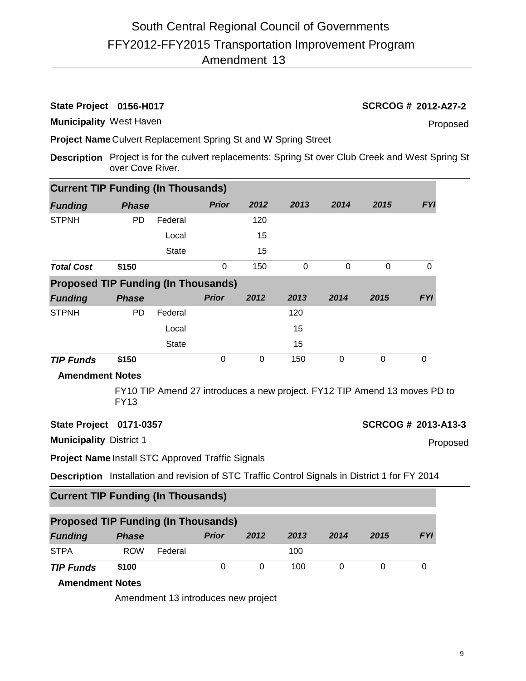# **State Project 0156-H017 SCRCOG # 2012-A27-2**

**Municipality** West Haven

Proposed

**Project Name** Culvert Replacement Spring St and W Spring Street

**Description** Project is for the culvert replacements: Spring St over Club Creek and West Spring St over Cove River.

| <b>Current TIP Funding (In Thousands)</b>                                                      |              |                                                                           |              |             |                |                |                     |                |          |  |
|------------------------------------------------------------------------------------------------|--------------|---------------------------------------------------------------------------|--------------|-------------|----------------|----------------|---------------------|----------------|----------|--|
| <b>Funding</b>                                                                                 | <b>Phase</b> |                                                                           | <b>Prior</b> | 2012        | 2013           | 2014           | 2015                | <b>FYI</b>     |          |  |
| <b>STPNH</b>                                                                                   | <b>PD</b>    | Federal                                                                   |              | 120         |                |                |                     |                |          |  |
|                                                                                                |              | Local                                                                     |              | 15          |                |                |                     |                |          |  |
|                                                                                                |              | <b>State</b>                                                              |              | 15          |                |                |                     |                |          |  |
| <b>Total Cost</b>                                                                              | \$150        |                                                                           | 0            | 150         | $\overline{0}$ | $\overline{0}$ | $\overline{0}$      | $\overline{0}$ |          |  |
| <b>Proposed TIP Funding (In Thousands)</b>                                                     |              |                                                                           |              |             |                |                |                     |                |          |  |
| <b>Funding</b>                                                                                 | <b>Phase</b> |                                                                           | <b>Prior</b> | 2012        | 2013           | 2014           | 2015                | <b>FYI</b>     |          |  |
| <b>STPNH</b>                                                                                   | <b>PD</b>    | Federal                                                                   |              |             | 120            |                |                     |                |          |  |
|                                                                                                |              | Local                                                                     |              |             | 15             |                |                     |                |          |  |
|                                                                                                |              | <b>State</b>                                                              |              |             | 15             |                |                     |                |          |  |
| <b>TIP Funds</b>                                                                               | \$150        |                                                                           | 0            | $\mathbf 0$ | 150            | $\overline{0}$ | $\mathbf 0$         | $\overline{0}$ |          |  |
| <b>Amendment Notes</b>                                                                         |              |                                                                           |              |             |                |                |                     |                |          |  |
|                                                                                                | <b>FY13</b>  | FY10 TIP Amend 27 introduces a new project. FY12 TIP Amend 13 moves PD to |              |             |                |                |                     |                |          |  |
| State Project 0171-0357                                                                        |              |                                                                           |              |             |                |                | SCRCOG # 2013-A13-3 |                |          |  |
| <b>Municipality District 1</b>                                                                 |              |                                                                           |              |             |                |                |                     |                | Proposed |  |
| <b>Project Name Install STC Approved Traffic Signals</b>                                       |              |                                                                           |              |             |                |                |                     |                |          |  |
| Description Installation and revision of STC Traffic Control Signals in District 1 for FY 2014 |              |                                                                           |              |             |                |                |                     |                |          |  |
| <b>Current TIP Funding (In Thousands)</b>                                                      |              |                                                                           |              |             |                |                |                     |                |          |  |
| <b>Proposed TIP Funding (In Thousands)</b>                                                     |              |                                                                           |              |             |                |                |                     |                |          |  |
| <b>Funding</b>                                                                                 | <b>Phase</b> |                                                                           | <b>Prior</b> | 2012        | 2013           | 2014           | 2015                | <b>FYI</b>     |          |  |
| <b>STPA</b>                                                                                    | <b>ROW</b>   | Federal                                                                   |              |             | 100            |                |                     |                |          |  |
| <b>TIP Funds</b>                                                                               | \$100        |                                                                           | 0            | 0           | 100            | 0              | $\mathbf 0$         | 0              |          |  |

**Amendment Notes**

Amendment 13 introduces new project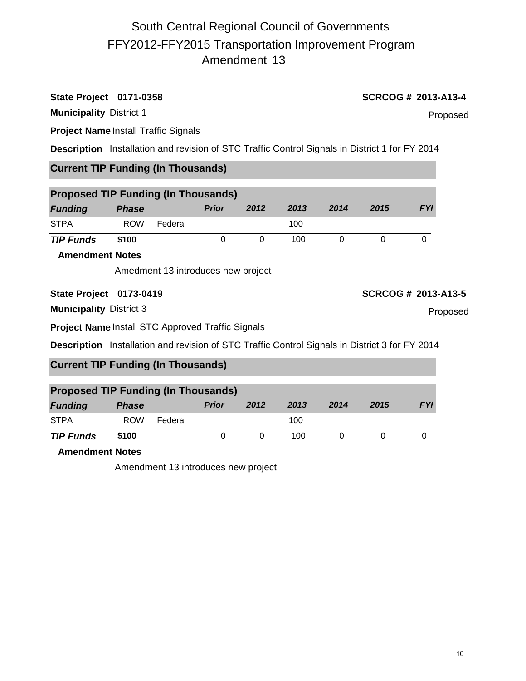# **State Project 0171-0358 SCRCOG # 2013-A13-4**

**Municipality** District 1

# **Project Name** Install Traffic Signals

**Description** Installation and revision of STC Traffic Control Signals in District 1 for FY 2014

# **Current TIP Funding (In Thousands)**

| <b>Proposed TIP Funding (In Thousands)</b> |              |         |              |          |      |      |      |            |  |  |
|--------------------------------------------|--------------|---------|--------------|----------|------|------|------|------------|--|--|
| <b>Funding</b>                             | <b>Phase</b> |         | <b>Prior</b> | 2012     | 2013 | 2014 | 2015 | <b>FYI</b> |  |  |
| <b>STPA</b>                                | <b>ROW</b>   | Federal |              |          | 100  |      |      |            |  |  |
| <b>TIP Funds</b>                           | \$100        |         | 0            | $\Omega$ | 100  |      |      |            |  |  |
| <b>Amendment Notes</b>                     |              |         |              |          |      |      |      |            |  |  |

Amedment 13 introduces new project

**State Project 0173-0419 SCRCOG # 2013-A13-5**

**Municipality** District 3

**Project Name** Install STC Approved Traffic Signals

**Description** Installation and revision of STC Traffic Control Signals in District 3 for FY 2014

# **Current TIP Funding (In Thousands)**

| <b>Proposed TIP Funding (In Thousands)</b> |              |         |              |      |      |      |      |            |  |  |
|--------------------------------------------|--------------|---------|--------------|------|------|------|------|------------|--|--|
| <b>Funding</b>                             | <b>Phase</b> |         | <b>Prior</b> | 2012 | 2013 | 2014 | 2015 | <b>FYI</b> |  |  |
| <b>STPA</b>                                | <b>ROW</b>   | Federal |              |      | 100  |      |      |            |  |  |
| <b>TIP Funds</b>                           | \$100        |         |              |      | 100  |      |      |            |  |  |

**Amendment Notes**

Amendment 13 introduces new project

Proposed

Proposed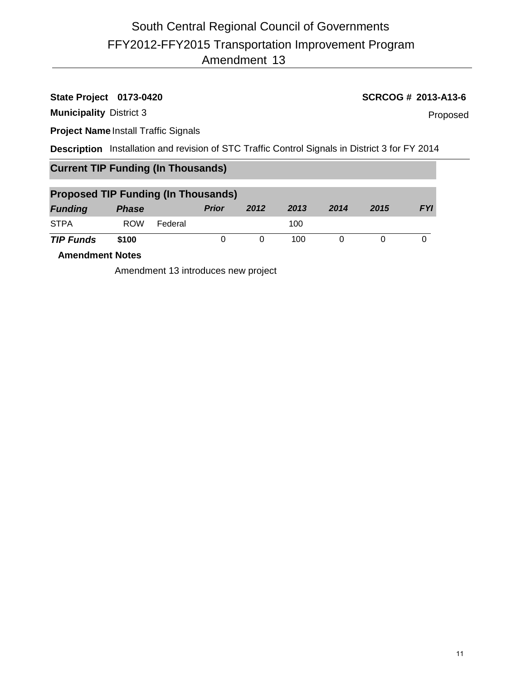# **State Project 0173-0420 SCRCOG # 2013-A13-6**

**Municipality** District 3

Proposed

**Project Name** Install Traffic Signals

**Description** Installation and revision of STC Traffic Control Signals in District 3 for FY 2014

# **Current TIP Funding (In Thousands)**

| <b>Proposed TIP Funding (In Thousands)</b> |              |         |              |      |      |      |      |            |
|--------------------------------------------|--------------|---------|--------------|------|------|------|------|------------|
| <b>Funding</b>                             | <b>Phase</b> |         | <b>Prior</b> | 2012 | 2013 | 2014 | 2015 | <b>FYI</b> |
| <b>STPA</b>                                | <b>ROW</b>   | Federal |              |      | 100  |      |      |            |
| <b>TIP Funds</b>                           | \$100        |         |              |      | 100  |      |      |            |

**Amendment Notes**

Amendment 13 introduces new project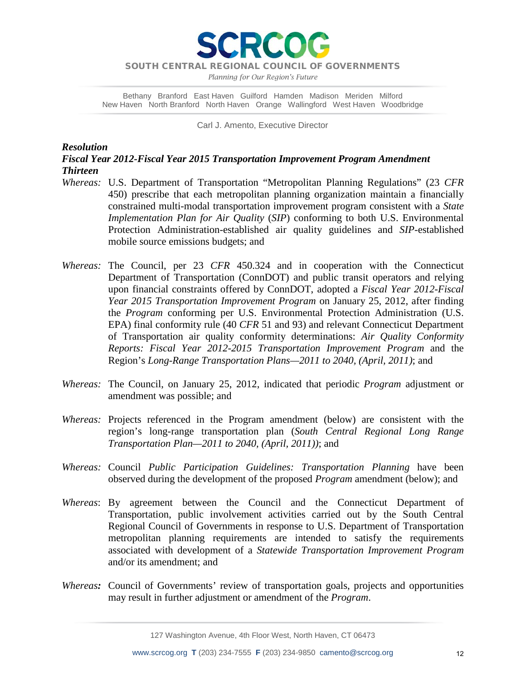**RCO** 

*Planning for Our Region's Future*

Bethany Branford East Haven Guilford Hamden Madison Meriden Milford New Haven North Branford North Haven Orange Wallingford West Haven Woodbridge

Carl J. Amento, Executive Director

### *Resolution*

# *Fiscal Year 2012-Fiscal Year 2015 Transportation Improvement Program Amendment Thirteen*

- *Whereas:* U.S. Department of Transportation "Metropolitan Planning Regulations" (23 *CFR* 450) prescribe that each metropolitan planning organization maintain a financially constrained multi-modal transportation improvement program consistent with a *State Implementation Plan for Air Quality* (*SIP*) conforming to both U.S. Environmental Protection Administration-established air quality guidelines and *SIP*-established mobile source emissions budgets; and
- *Whereas:* The Council, per 23 *CFR* 450.324 and in cooperation with the Connecticut Department of Transportation (ConnDOT) and public transit operators and relying upon financial constraints offered by ConnDOT, adopted a *Fiscal Year 2012-Fiscal Year 2015 Transportation Improvement Program* on January 25, 2012, after finding the *Program* conforming per U.S. Environmental Protection Administration (U.S. EPA) final conformity rule (40 *CFR* 51 and 93) and relevant Connecticut Department of Transportation air quality conformity determinations: *Air Quality Conformity Reports: Fiscal Year 2012-2015 Transportation Improvement Program* and the Region's *Long-Range Transportation Plans—2011 to 2040, (April, 2011)*; and
- *Whereas:* The Council, on January 25, 2012, indicated that periodic *Program* adjustment or amendment was possible; and
- *Whereas:* Projects referenced in the Program amendment (below) are consistent with the region's long-range transportation plan (*South Central Regional Long Range Transportation Plan—2011 to 2040, (April, 2011))*; and
- *Whereas:* Council *Public Participation Guidelines: Transportation Planning* have been observed during the development of the proposed *Program* amendment (below); and
- *Whereas*: By agreement between the Council and the Connecticut Department of Transportation, public involvement activities carried out by the South Central Regional Council of Governments in response to U.S. Department of Transportation metropolitan planning requirements are intended to satisfy the requirements associated with development of a *Statewide Transportation Improvement Program* and/or its amendment; and
- *Whereas:* Council of Governments' review of transportation goals, projects and opportunities may result in further adjustment or amendment of the *Program*.

127 Washington Avenue, 4th Floor West, North Haven, CT 06473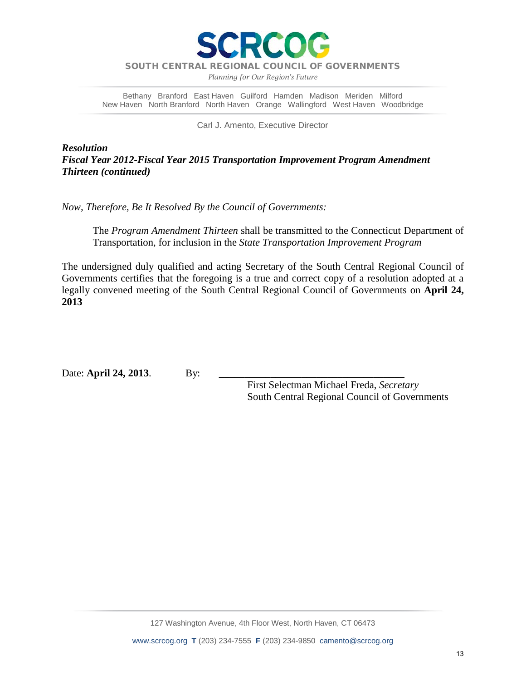

*Planning for Our Region's Future*

Bethany Branford East Haven Guilford Hamden Madison Meriden Milford New Haven North Branford North Haven Orange Wallingford West Haven Woodbridge

Carl J. Amento, Executive Director

*Resolution Fiscal Year 2012-Fiscal Year 2015 Transportation Improvement Program Amendment Thirteen (continued)*

*Now, Therefore, Be It Resolved By the Council of Governments:*

The *Program Amendment Thirteen* shall be transmitted to the Connecticut Department of Transportation, for inclusion in the *State Transportation Improvement Program*

The undersigned duly qualified and acting Secretary of the South Central Regional Council of Governments certifies that the foregoing is a true and correct copy of a resolution adopted at a legally convened meeting of the South Central Regional Council of Governments on **April 24, 2013**

Date: **April 24, 2013**. By:

 First Selectman Michael Freda, *Secretary* South Central Regional Council of Governments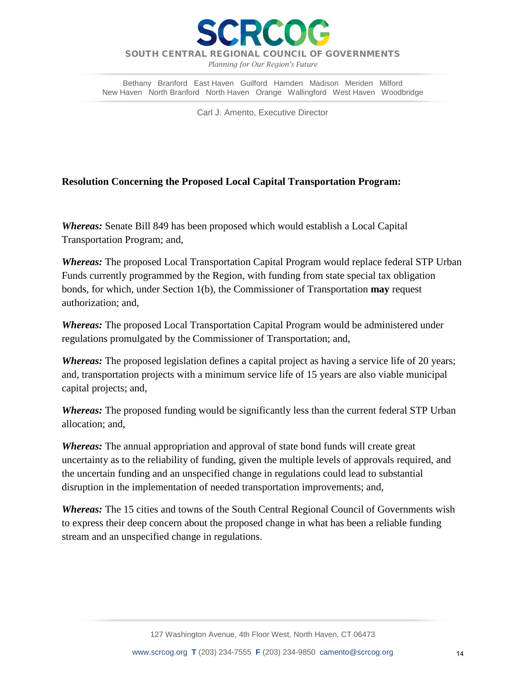

*Planning for Our Region's Future*

Bethany Branford East Haven Guilford Hamden Madison Meriden Milford New Haven North Branford North Haven Orange Wallingford West Haven Woodbridge

Carl J. Amento, Executive Director

# **Resolution Concerning the Proposed Local Capital Transportation Program:**

*Whereas:* Senate Bill 849 has been proposed which would establish a Local Capital Transportation Program; and,

*Whereas:* The proposed Local Transportation Capital Program would replace federal STP Urban Funds currently programmed by the Region, with funding from state special tax obligation bonds, for which, under Section 1(b), the Commissioner of Transportation **may** request authorization; and,

*Whereas:* The proposed Local Transportation Capital Program would be administered under regulations promulgated by the Commissioner of Transportation; and,

*Whereas:* The proposed legislation defines a capital project as having a service life of 20 years; and, transportation projects with a minimum service life of 15 years are also viable municipal capital projects; and,

*Whereas:* The proposed funding would be significantly less than the current federal STP Urban allocation; and,

*Whereas:* The annual appropriation and approval of state bond funds will create great uncertainty as to the reliability of funding, given the multiple levels of approvals required, and the uncertain funding and an unspecified change in regulations could lead to substantial disruption in the implementation of needed transportation improvements; and,

*Whereas:* The 15 cities and towns of the South Central Regional Council of Governments wish to express their deep concern about the proposed change in what has been a reliable funding stream and an unspecified change in regulations.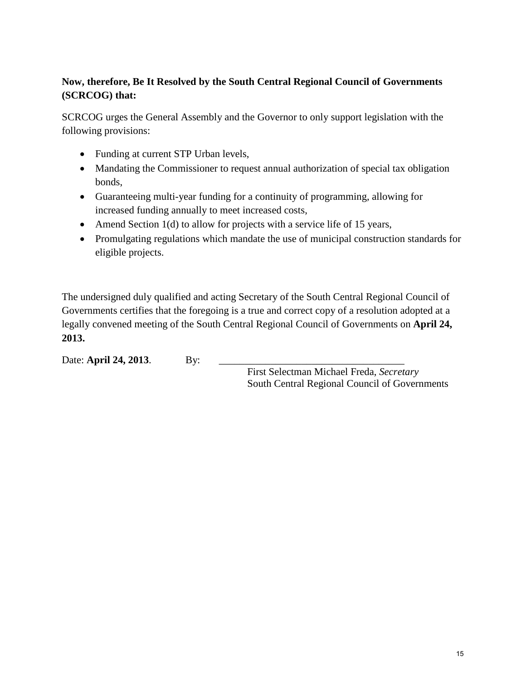# **Now, therefore, Be It Resolved by the South Central Regional Council of Governments (SCRCOG) that:**

SCRCOG urges the General Assembly and the Governor to only support legislation with the following provisions:

- Funding at current STP Urban levels,
- Mandating the Commissioner to request annual authorization of special tax obligation bonds,
- Guaranteeing multi-year funding for a continuity of programming, allowing for increased funding annually to meet increased costs,
- Amend Section 1(d) to allow for projects with a service life of 15 years,
- Promulgating regulations which mandate the use of municipal construction standards for eligible projects.

The undersigned duly qualified and acting Secretary of the South Central Regional Council of Governments certifies that the foregoing is a true and correct copy of a resolution adopted at a legally convened meeting of the South Central Regional Council of Governments on **April 24, 2013.** 

Date: **April 24, 2013**. By:

 First Selectman Michael Freda, *Secretary* South Central Regional Council of Governments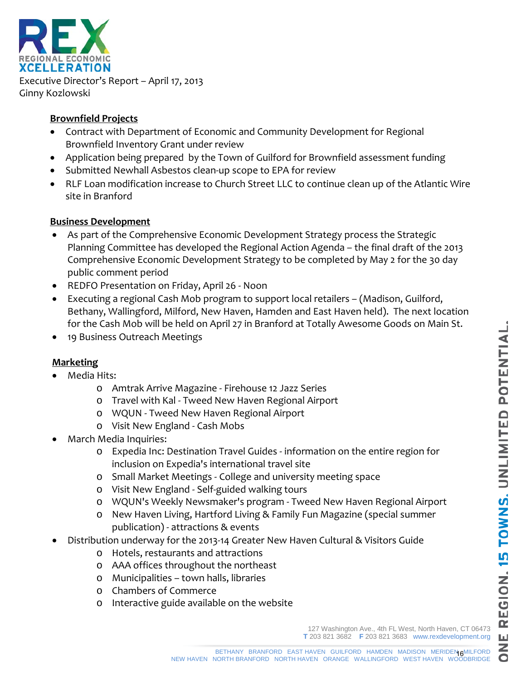O



Executive Director's Report – April 17, 2013 Ginny Kozlowski

# **Brownfield Projects**

- Contract with Department of Economic and Community Development for Regional Brownfield Inventory Grant under review
- Application being prepared by the Town of Guilford for Brownfield assessment funding
- Submitted Newhall Asbestos clean-up scope to EPA for review
- RLF Loan modification increase to Church Street LLC to continue clean up of the Atlantic Wire site in Branford

# **Business Development**

- As part of the Comprehensive Economic Development Strategy process the Strategic Planning Committee has developed the Regional Action Agenda – the final draft 0f the 2013 Comprehensive Economic Development Strategy to be completed by May 2 for the 30 day public comment period
- REDFO Presentation on Friday, April 26 Noon
- Executing a regional Cash Mob program to support local retailers (Madison, Guilford, Bethany, Wallingford, Milford, New Haven, Hamden and East Haven held). The next location for the Cash Mob will be held on April 27 in Branford at Totally Awesome Goods on Main St.
- 19 Business Outreach Meetings

# **Marketing**

- Media Hits:
	- o Amtrak Arrive Magazine Firehouse 12 Jazz Series
	- o Travel with Kal Tweed New Haven Regional Airport
	- o WQUN Tweed New Haven Regional Airport
	- o Visit New England Cash Mobs
- March Media Inquiries:
	- o Expedia Inc: Destination Travel Guides information on the entire region for inclusion on Expedia's international travel site
	- o Small Market Meetings College and university meeting space
	- o Visit New England Self-guided walking tours
	- o WQUN's Weekly Newsmaker's program Tweed New Haven Regional Airport
	- o New Haven Living, Hartford Living & Family Fun Magazine (special summer publication) - attractions & events
- Distribution underway for the 2013-14 Greater New Haven Cultural & Visitors Guide
	- o Hotels, restaurants and attractions
	- o AAA offices throughout the northeast
	- o Municipalities town halls, libraries
	- o Chambers of Commerce
	- o Interactive guide available on the website

127 Washington Ave., 4th FL West, North Haven, CT 06473 **T** 203 821 3682 **F** 203 821 3683 www.rexdevelopment.org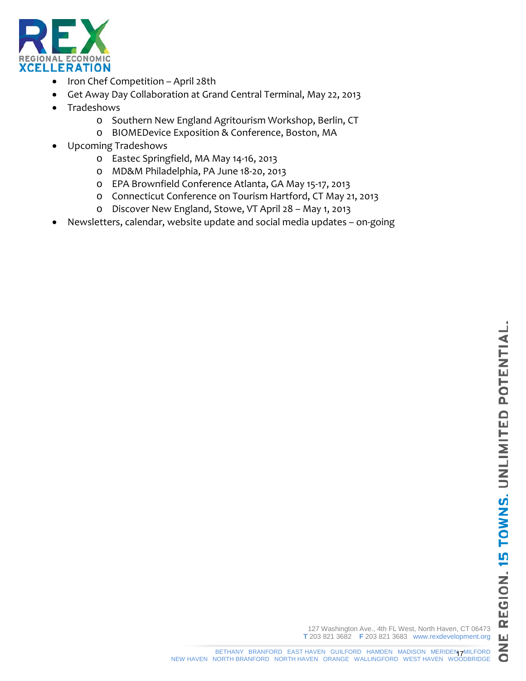

- Iron Chef Competition April 28th
- Get Away Day Collaboration at Grand Central Terminal, May 22, 2013
- Tradeshows
	- o Southern New England Agritourism Workshop, Berlin, CT
	- o BIOMEDevice Exposition & Conference, Boston, MA
- Upcoming Tradeshows
	- o Eastec Springfield, MA May 14-16, 2013
	- o MD&M Philadelphia, PA June 18-20, 2013
	- o EPA Brownfield Conference Atlanta, GA May 15-17, 2013
	- o Connecticut Conference on Tourism Hartford, CT May 21, 2013
	- o Discover New England, Stowe, VT April 28 May 1, 2013
- Newsletters, calendar, website update and social media updates on-going